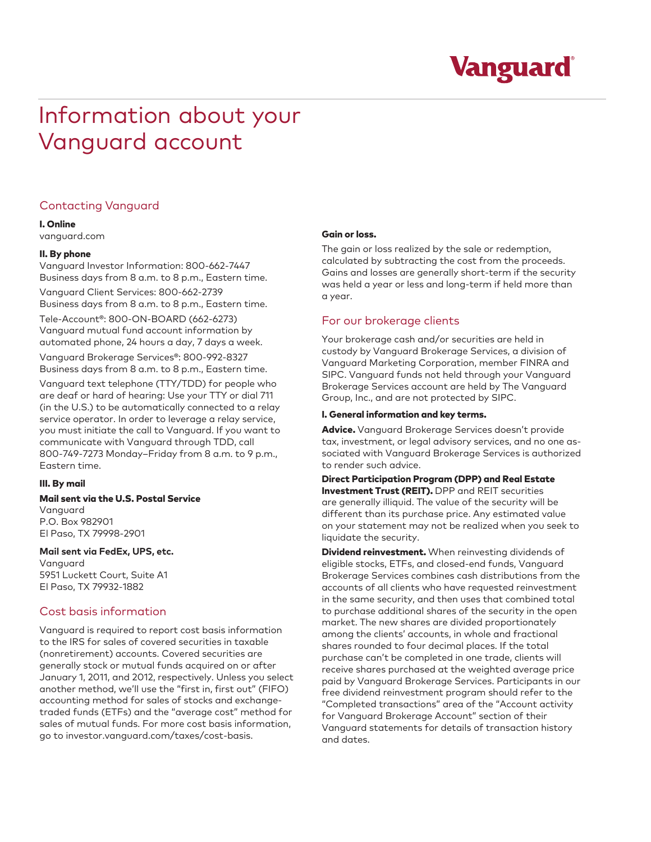

# Information about your Vanguard account

# Contacting Vanguard

#### I. Online

vanguard.com

#### II. By phone

Vanguard Investor Information: 800-662-7447 Business days from 8 a.m. to 8 p.m., Eastern time.

Vanguard Client Services: 800-662-2739 Business days from 8 a.m. to 8 p.m., Eastern time.

Tele-Account®: 800-ON-BOARD (662-6273) Vanguard mutual fund account information by automated phone, 24 hours a day, 7 days a week.

Vanguard Brokerage Services®: 800-992-8327 Business days from 8 a.m. to 8 p.m., Eastern time.

Vanguard text telephone (TTY/TDD) for people who are deaf or hard of hearing: Use your TTY or dial 711 (in the U.S.) to be automatically connected to a relay service operator. In order to leverage a relay service, you must initiate the call to Vanguard. If you want to communicate with Vanguard through TDD, call 800-749-7273 Monday–Friday from 8 a.m. to 9 p.m., Eastern time.

## III. By mail

#### Mail sent via the U.S. Postal Service

Vanguard P.O. Box 982901 El Paso, TX 79998-2901

#### **Mail sent via FedEx, UPS, etc.**

Vanguard 5951 Luckett Court, Suite A1 El Paso, TX 79932-1882

# Cost basis information

Vanguard is required to report cost basis information to the IRS for sales of covered securities in taxable (nonretirement) accounts. Covered securities are generally stock or mutual funds acquired on or after January 1, 2011, and 2012, respectively. Unless you select another method, we'll use the "first in, first out" (FIFO) accounting method for sales of stocks and exchangetraded funds (ETFs) and the "average cost" method for sales of mutual funds. For more cost basis information, go to investor.vanguard.com/taxes/cost-basis.

## Gain or loss.

The gain or loss realized by the sale or redemption, calculated by subtracting the cost from the proceeds. Gains and losses are generally short-term if the security was held a year or less and long-term if held more than a year.

## For our brokerage clients

Your brokerage cash and/or securities are held in custody by Vanguard Brokerage Services, a division of Vanguard Marketing Corporation, member FINRA and SIPC. Vanguard funds not held through your Vanguard Brokerage Services account are held by The Vanguard Group, Inc., and are not protected by SIPC.

#### I. General information and key terms.

Advice. Vanguard Brokerage Services doesn't provide tax, investment, or legal advisory services, and no one associated with Vanguard Brokerage Services is authorized to render such advice.

Direct Participation Program (DPP) and Real Estate Investment Trust (REIT). DPP and REIT securities are generally illiquid. The value of the security will be different than its purchase price. Any estimated value on your statement may not be realized when you seek to liquidate the security.

**Dividend reinvestment.** When reinvesting dividends of eligible stocks, ETFs, and closed-end funds, Vanguard Brokerage Services combines cash distributions from the accounts of all clients who have requested reinvestment in the same security, and then uses that combined total to purchase additional shares of the security in the open market. The new shares are divided proportionately among the clients' accounts, in whole and fractional shares rounded to four decimal places. If the total purchase can't be completed in one trade, clients will receive shares purchased at the weighted average price paid by Vanguard Brokerage Services. Participants in our free dividend reinvestment program should refer to the "Completed transactions" area of the "Account activity for Vanguard Brokerage Account" section of their Vanguard statements for details of transaction history and dates.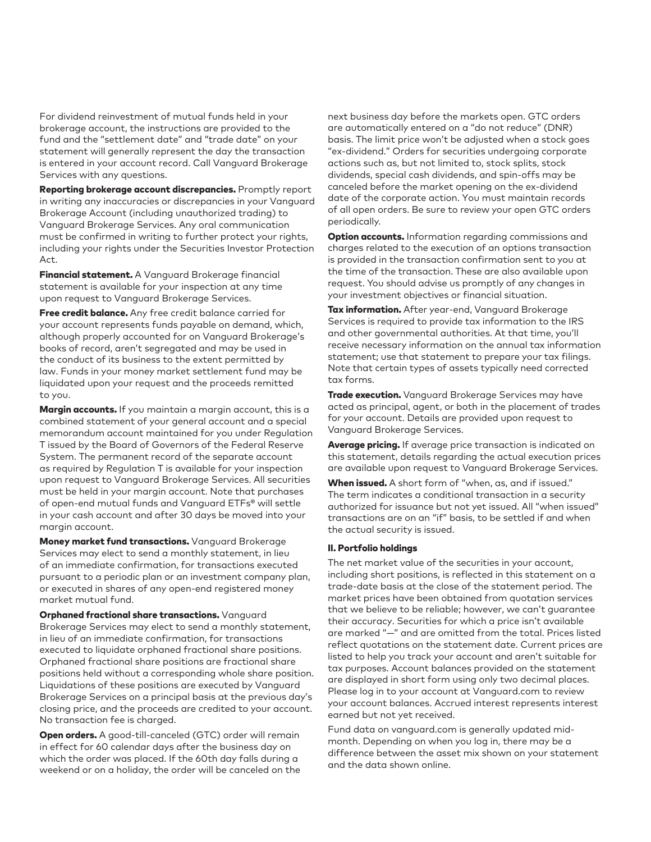For dividend reinvestment of mutual funds held in your brokerage account, the instructions are provided to the fund and the "settlement date" and "trade date" on your statement will generally represent the day the transaction is entered in your account record. Call Vanguard Brokerage Services with any questions.

Reporting brokerage account discrepancies. Promptly report in writing any inaccuracies or discrepancies in your Vanguard Brokerage Account (including unauthorized trading) to Vanguard Brokerage Services. Any oral communication must be confirmed in writing to further protect your rights, including your rights under the Securities Investor Protection Act.

Financial statement. A Vanguard Brokerage financial statement is available for your inspection at any time upon request to Vanguard Brokerage Services.

Free credit balance. Any free credit balance carried for your account represents funds payable on demand, which, although properly accounted for on Vanguard Brokerage's books of record, aren't segregated and may be used in the conduct of its business to the extent permitted by law. Funds in your money market settlement fund may be liquidated upon your request and the proceeds remitted to you.

Margin accounts. If you maintain a margin account, this is a combined statement of your general account and a special memorandum account maintained for you under Regulation T issued by the Board of Governors of the Federal Reserve System. The permanent record of the separate account as required by Regulation T is available for your inspection upon request to Vanguard Brokerage Services. All securities must be held in your margin account. Note that purchases of open-end mutual funds and Vanguard ETFs® will settle in your cash account and after 30 days be moved into your margin account.

Money market fund transactions. Vanguard Brokerage Services may elect to send a monthly statement, in lieu of an immediate confirmation, for transactions executed pursuant to a periodic plan or an investment company plan, or executed in shares of any open-end registered money market mutual fund.

Orphaned fractional share transactions. Vanguard Brokerage Services may elect to send a monthly statement, in lieu of an immediate confirmation, for transactions executed to liquidate orphaned fractional share positions. Orphaned fractional share positions are fractional share positions held without a corresponding whole share position. Liquidations of these positions are executed by Vanguard Brokerage Services on a principal basis at the previous day's closing price, and the proceeds are credited to your account. No transaction fee is charged.

Open orders. A good-till-canceled (GTC) order will remain in effect for 60 calendar days after the business day on which the order was placed. If the 60th day falls during a weekend or on a holiday, the order will be canceled on the

next business day before the markets open. GTC orders are automatically entered on a "do not reduce" (DNR) basis. The limit price won't be adjusted when a stock goes "ex-dividend." Orders for securities undergoing corporate actions such as, but not limited to, stock splits, stock dividends, special cash dividends, and spin-offs may be canceled before the market opening on the ex-dividend date of the corporate action. You must maintain records of all open orders. Be sure to review your open GTC orders periodically.

**Option accounts.** Information regarding commissions and charges related to the execution of an options transaction is provided in the transaction confirmation sent to you at the time of the transaction. These are also available upon request. You should advise us promptly of any changes in your investment objectives or financial situation.

Tax information. After year-end, Vanguard Brokerage Services is required to provide tax information to the IRS and other governmental authorities. At that time, you'll receive necessary information on the annual tax information statement; use that statement to prepare your tax filings. Note that certain types of assets typically need corrected tax forms.

**Trade execution.** Vanguard Brokerage Services may have acted as principal, agent, or both in the placement of trades for your account. Details are provided upon request to Vanguard Brokerage Services.

Average pricing. If average price transaction is indicated on this statement, details regarding the actual execution prices are available upon request to Vanguard Brokerage Services.

When issued. A short form of "when, as, and if issued." The term indicates a conditional transaction in a security authorized for issuance but not yet issued. All "when issued" transactions are on an "if" basis, to be settled if and when the actual security is issued.

#### II. Portfolio holdings

The net market value of the securities in your account, including short positions, is reflected in this statement on a trade-date basis at the close of the statement period. The market prices have been obtained from quotation services that we believe to be reliable; however, we can't guarantee their accuracy. Securities for which a price isn't available are marked "—" and are omitted from the total. Prices listed reflect quotations on the statement date. Current prices are listed to help you track your account and aren't suitable for tax purposes. Account balances provided on the statement are displayed in short form using only two decimal places. Please log in to your account at Vanguard.com to review your account balances. Accrued interest represents interest earned but not yet received.

Fund data on vanguard.com is generally updated midmonth. Depending on when you log in, there may be a difference between the asset mix shown on your statement and the data shown online.